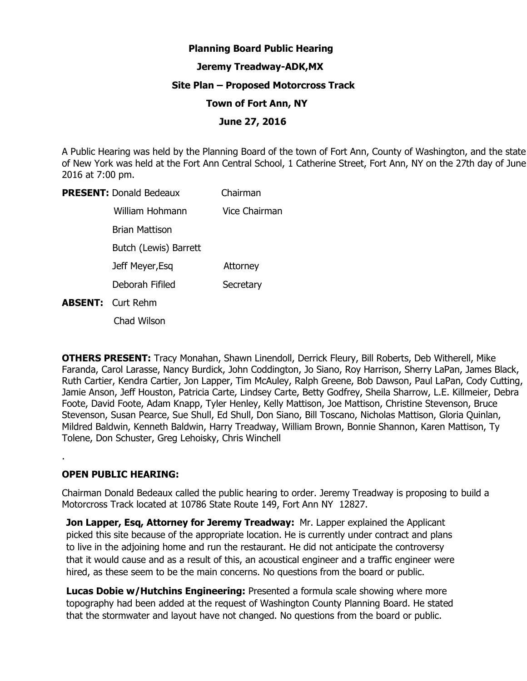# **Planning Board Public Hearing**

## **Jeremy Treadway-ADK,MX**

## **Site Plan – Proposed Motorcross Track**

### **Town of Fort Ann, NY**

## **June 27, 2016**

A Public Hearing was held by the Planning Board of the town of Fort Ann, County of Washington, and the state of New York was held at the Fort Ann Central School, 1 Catherine Street, Fort Ann, NY on the 27th day of June 2016 at 7:00 pm.

| <b>PRESENT: Donald Bedeaux</b> | Chairman      |
|--------------------------------|---------------|
| William Hohmann                | Vice Chairman |
| Brian Mattison                 |               |
| Butch (Lewis) Barrett          |               |
| Jeff Meyer, Esq                | Attorney      |
| Deborah Fifiled                | Secretary     |
| <b>ABSENT:</b> Curt Rehm       |               |
|                                |               |

Chad Wilson

**OTHERS PRESENT:** Tracy Monahan, Shawn Linendoll, Derrick Fleury, Bill Roberts, Deb Witherell, Mike Faranda, Carol Larasse, Nancy Burdick, John Coddington, Jo Siano, Roy Harrison, Sherry LaPan, James Black, Ruth Cartier, Kendra Cartier, Jon Lapper, Tim McAuley, Ralph Greene, Bob Dawson, Paul LaPan, Cody Cutting, Jamie Anson, Jeff Houston, Patricia Carte, Lindsey Carte, Betty Godfrey, Sheila Sharrow, L.E. Killmeier, Debra Foote, David Foote, Adam Knapp, Tyler Henley, Kelly Mattison, Joe Mattison, Christine Stevenson, Bruce Stevenson, Susan Pearce, Sue Shull, Ed Shull, Don Siano, Bill Toscano, Nicholas Mattison, Gloria Quinlan, Mildred Baldwin, Kenneth Baldwin, Harry Treadway, William Brown, Bonnie Shannon, Karen Mattison, Ty Tolene, Don Schuster, Greg Lehoisky, Chris Winchell

# **OPEN PUBLIC HEARING:**

.

Chairman Donald Bedeaux called the public hearing to order. Jeremy Treadway is proposing to build a Motorcross Track located at 10786 State Route 149, Fort Ann NY 12827.

**Jon Lapper, Esq, Attorney for Jeremy Treadway: Mr. Lapper explained the Applicant** picked this site because of the appropriate location. He is currently under contract and plans to live in the adjoining home and run the restaurant. He did not anticipate the controversy that it would cause and as a result of this, an acoustical engineer and a traffic engineer were hired, as these seem to be the main concerns. No questions from the board or public.

**Lucas Dobie w/Hutchins Engineering:** Presented a formula scale showing where more topography had been added at the request of Washington County Planning Board. He stated that the stormwater and layout have not changed. No questions from the board or public.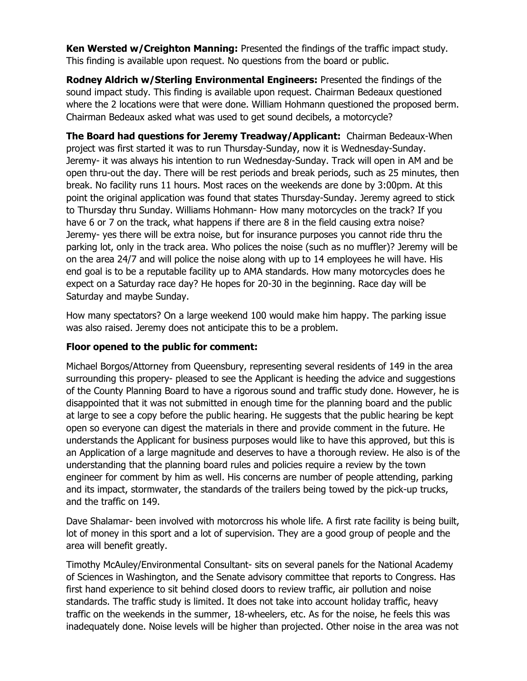**Ken Wersted w/Creighton Manning:** Presented the findings of the traffic impact study. This finding is available upon request. No questions from the board or public.

**Rodney Aldrich w/Sterling Environmental Engineers:** Presented the findings of the sound impact study. This finding is available upon request. Chairman Bedeaux questioned where the 2 locations were that were done. William Hohmann questioned the proposed berm. Chairman Bedeaux asked what was used to get sound decibels, a motorcycle?

**The Board had questions for Jeremy Treadway/Applicant:** Chairman Bedeaux-When project was first started it was to run Thursday-Sunday, now it is Wednesday-Sunday. Jeremy- it was always his intention to run Wednesday-Sunday. Track will open in AM and be open thru-out the day. There will be rest periods and break periods, such as 25 minutes, then break. No facility runs 11 hours. Most races on the weekends are done by 3:00pm. At this point the original application was found that states Thursday-Sunday. Jeremy agreed to stick to Thursday thru Sunday. Williams Hohmann- How many motorcycles on the track? If you have 6 or 7 on the track, what happens if there are 8 in the field causing extra noise? Jeremy- yes there will be extra noise, but for insurance purposes you cannot ride thru the parking lot, only in the track area. Who polices the noise (such as no muffler)? Jeremy will be on the area 24/7 and will police the noise along with up to 14 employees he will have. His end goal is to be a reputable facility up to AMA standards. How many motorcycles does he expect on a Saturday race day? He hopes for 20-30 in the beginning. Race day will be Saturday and maybe Sunday.

How many spectators? On a large weekend 100 would make him happy. The parking issue was also raised. Jeremy does not anticipate this to be a problem.

# **Floor opened to the public for comment:**

Michael Borgos/Attorney from Queensbury, representing several residents of 149 in the area surrounding this propery- pleased to see the Applicant is heeding the advice and suggestions of the County Planning Board to have a rigorous sound and traffic study done. However, he is disappointed that it was not submitted in enough time for the planning board and the public at large to see a copy before the public hearing. He suggests that the public hearing be kept open so everyone can digest the materials in there and provide comment in the future. He understands the Applicant for business purposes would like to have this approved, but this is an Application of a large magnitude and deserves to have a thorough review. He also is of the understanding that the planning board rules and policies require a review by the town engineer for comment by him as well. His concerns are number of people attending, parking and its impact, stormwater, the standards of the trailers being towed by the pick-up trucks, and the traffic on 149.

Dave Shalamar- been involved with motorcross his whole life. A first rate facility is being built, lot of money in this sport and a lot of supervision. They are a good group of people and the area will benefit greatly.

Timothy McAuley/Environmental Consultant- sits on several panels for the National Academy of Sciences in Washington, and the Senate advisory committee that reports to Congress. Has first hand experience to sit behind closed doors to review traffic, air pollution and noise standards. The traffic study is limited. It does not take into account holiday traffic, heavy traffic on the weekends in the summer, 18-wheelers, etc. As for the noise, he feels this was inadequately done. Noise levels will be higher than projected. Other noise in the area was not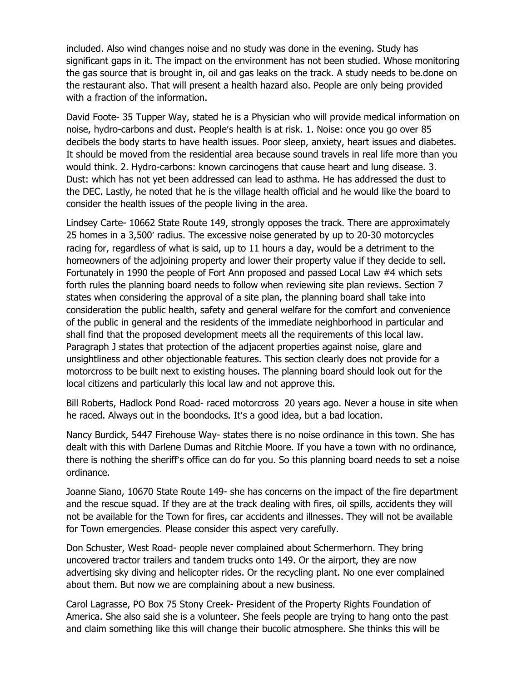included. Also wind changes noise and no study was done in the evening. Study has significant gaps in it. The impact on the environment has not been studied. Whose monitoring the gas source that is brought in, oil and gas leaks on the track. A study needs to be.done on the restaurant also. That will present a health hazard also. People are only being provided with a fraction of the information.

David Foote- 35 Tupper Way, stated he is a Physician who will provide medical information on noise, hydro-carbons and dust. People's health is at risk. 1. Noise: once you go over 85 decibels the body starts to have health issues. Poor sleep, anxiety, heart issues and diabetes. It should be moved from the residential area because sound travels in real life more than you would think. 2. Hydro-carbons: known carcinogens that cause heart and lung disease. 3. Dust: which has not yet been addressed can lead to asthma. He has addressed the dust to the DEC. Lastly, he noted that he is the village health official and he would like the board to consider the health issues of the people living in the area.

Lindsey Carte- 10662 State Route 149, strongly opposes the track. There are approximately 25 homes in a 3,500' radius. The excessive noise generated by up to 20-30 motorcycles racing for, regardless of what is said, up to 11 hours a day, would be a detriment to the homeowners of the adjoining property and lower their property value if they decide to sell. Fortunately in 1990 the people of Fort Ann proposed and passed Local Law #4 which sets forth rules the planning board needs to follow when reviewing site plan reviews. Section 7 states when considering the approval of a site plan, the planning board shall take into consideration the public health, safety and general welfare for the comfort and convenience of the public in general and the residents of the immediate neighborhood in particular and shall find that the proposed development meets all the requirements of this local law. Paragraph J states that protection of the adjacent properties against noise, glare and unsightliness and other objectionable features. This section clearly does not provide for a motorcross to be built next to existing houses. The planning board should look out for the local citizens and particularly this local law and not approve this.

Bill Roberts, Hadlock Pond Road- raced motorcross 20 years ago. Never a house in site when he raced. Always out in the boondocks. It's a good idea, but a bad location.

Nancy Burdick, 5447 Firehouse Way- states there is no noise ordinance in this town. She has dealt with this with Darlene Dumas and Ritchie Moore. If you have a town with no ordinance, there is nothing the sheriff's office can do for you. So this planning board needs to set a noise ordinance.

Joanne Siano, 10670 State Route 149- she has concerns on the impact of the fire department and the rescue squad. If they are at the track dealing with fires, oil spills, accidents they will not be available for the Town for fires, car accidents and illnesses. They will not be available for Town emergencies. Please consider this aspect very carefully.

Don Schuster, West Road- people never complained about Schermerhorn. They bring uncovered tractor trailers and tandem trucks onto 149. Or the airport, they are now advertising sky diving and helicopter rides. Or the recycling plant. No one ever complained about them. But now we are complaining about a new business.

Carol Lagrasse, PO Box 75 Stony Creek- President of the Property Rights Foundation of America. She also said she is a volunteer. She feels people are trying to hang onto the past and claim something like this will change their bucolic atmosphere. She thinks this will be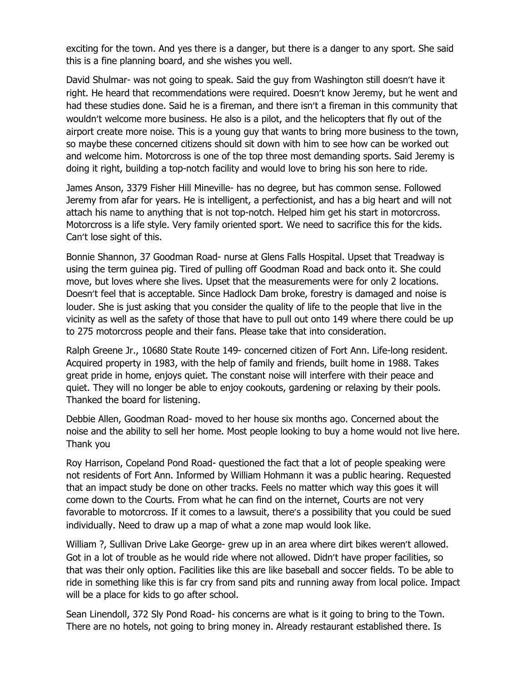exciting for the town. And yes there is a danger, but there is a danger to any sport. She said this is a fine planning board, and she wishes you well.

David Shulmar- was not going to speak. Said the guy from Washington still doesn't have it right. He heard that recommendations were required. Doesn't know Jeremy, but he went and had these studies done. Said he is a fireman, and there isn't a fireman in this community that wouldn't welcome more business. He also is a pilot, and the helicopters that fly out of the airport create more noise. This is a young guy that wants to bring more business to the town, so maybe these concerned citizens should sit down with him to see how can be worked out and welcome him. Motorcross is one of the top three most demanding sports. Said Jeremy is doing it right, building a top-notch facility and would love to bring his son here to ride.

James Anson, 3379 Fisher Hill Mineville- has no degree, but has common sense. Followed Jeremy from afar for years. He is intelligent, a perfectionist, and has a big heart and will not attach his name to anything that is not top-notch. Helped him get his start in motorcross. Motorcross is a life style. Very family oriented sport. We need to sacrifice this for the kids. Can't lose sight of this.

Bonnie Shannon, 37 Goodman Road- nurse at Glens Falls Hospital. Upset that Treadway is using the term guinea pig. Tired of pulling off Goodman Road and back onto it. She could move, but loves where she lives. Upset that the measurements were for only 2 locations. Doesn't feel that is acceptable. Since Hadlock Dam broke, forestry is damaged and noise is louder. She is just asking that you consider the quality of life to the people that live in the vicinity as well as the safety of those that have to pull out onto 149 where there could be up to 275 motorcross people and their fans. Please take that into consideration.

Ralph Greene Jr., 10680 State Route 149- concerned citizen of Fort Ann. Life-long resident. Acquired property in 1983, with the help of family and friends, built home in 1988. Takes great pride in home, enjoys quiet. The constant noise will interfere with their peace and quiet. They will no longer be able to enjoy cookouts, gardening or relaxing by their pools. Thanked the board for listening.

Debbie Allen, Goodman Road- moved to her house six months ago. Concerned about the noise and the ability to sell her home. Most people looking to buy a home would not live here. Thank you

Roy Harrison, Copeland Pond Road- questioned the fact that a lot of people speaking were not residents of Fort Ann. Informed by William Hohmann it was a public hearing. Requested that an impact study be done on other tracks. Feels no matter which way this goes it will come down to the Courts. From what he can find on the internet, Courts are not very favorable to motorcross. If it comes to a lawsuit, there's a possibility that you could be sued individually. Need to draw up a map of what a zone map would look like.

William ?, Sullivan Drive Lake George- grew up in an area where dirt bikes weren't allowed. Got in a lot of trouble as he would ride where not allowed. Didn't have proper facilities, so that was their only option. Facilities like this are like baseball and soccer fields. To be able to ride in something like this is far cry from sand pits and running away from local police. Impact will be a place for kids to go after school.

Sean Linendoll, 372 Sly Pond Road- his concerns are what is it going to bring to the Town. There are no hotels, not going to bring money in. Already restaurant established there. Is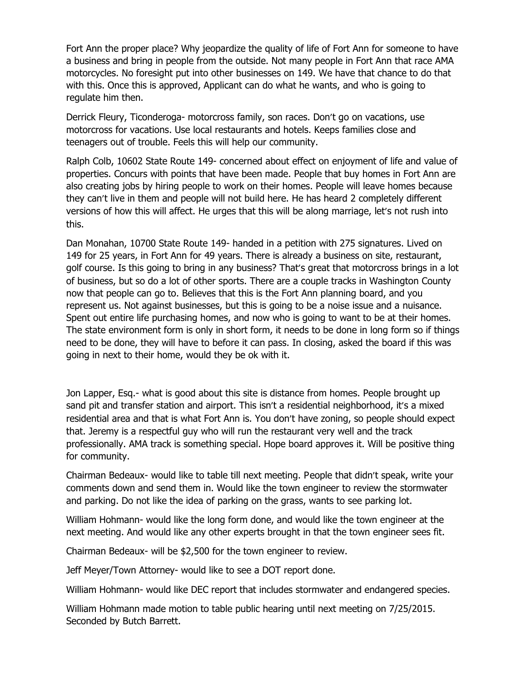Fort Ann the proper place? Why jeopardize the quality of life of Fort Ann for someone to have a business and bring in people from the outside. Not many people in Fort Ann that race AMA motorcycles. No foresight put into other businesses on 149. We have that chance to do that with this. Once this is approved, Applicant can do what he wants, and who is going to regulate him then.

Derrick Fleury, Ticonderoga- motorcross family, son races. Don't go on vacations, use motorcross for vacations. Use local restaurants and hotels. Keeps families close and teenagers out of trouble. Feels this will help our community.

Ralph Colb, 10602 State Route 149- concerned about effect on enjoyment of life and value of properties. Concurs with points that have been made. People that buy homes in Fort Ann are also creating jobs by hiring people to work on their homes. People will leave homes because they can't live in them and people will not build here. He has heard 2 completely different versions of how this will affect. He urges that this will be along marriage, let's not rush into this.

Dan Monahan, 10700 State Route 149- handed in a petition with 275 signatures. Lived on 149 for 25 years, in Fort Ann for 49 years. There is already a business on site, restaurant, golf course. Is this going to bring in any business? That's great that motorcross brings in a lot of business, but so do a lot of other sports. There are a couple tracks in Washington County now that people can go to. Believes that this is the Fort Ann planning board, and you represent us. Not against businesses, but this is going to be a noise issue and a nuisance. Spent out entire life purchasing homes, and now who is going to want to be at their homes. The state environment form is only in short form, it needs to be done in long form so if things need to be done, they will have to before it can pass. In closing, asked the board if this was going in next to their home, would they be ok with it.

Jon Lapper, Esq.- what is good about this site is distance from homes. People brought up sand pit and transfer station and airport. This isn't a residential neighborhood, it's a mixed residential area and that is what Fort Ann is. You don't have zoning, so people should expect that. Jeremy is a respectful guy who will run the restaurant very well and the track professionally. AMA track is something special. Hope board approves it. Will be positive thing for community.

Chairman Bedeaux- would like to table till next meeting. P eople that didn't speak, write your comments down and send them in. Would like the town engineer to review the stormwater and parking. Do not like the idea of parking on the grass, wants to see parking lot.

William Hohmann- would like the long form done, and would like the town engineer at the next meeting. And would like any other experts brought in that the town engineer sees fit.

Chairman Bedeaux- will be \$2,500 for the town engineer to review.

Jeff Meyer/Town Attorney- would like to see a DOT report done.

William Hohmann- would like DEC report that includes stormwater and endangered species.

William Hohmann made motion to table public hearing until next meeting on 7/25/2015. Seconded by Butch Barrett.